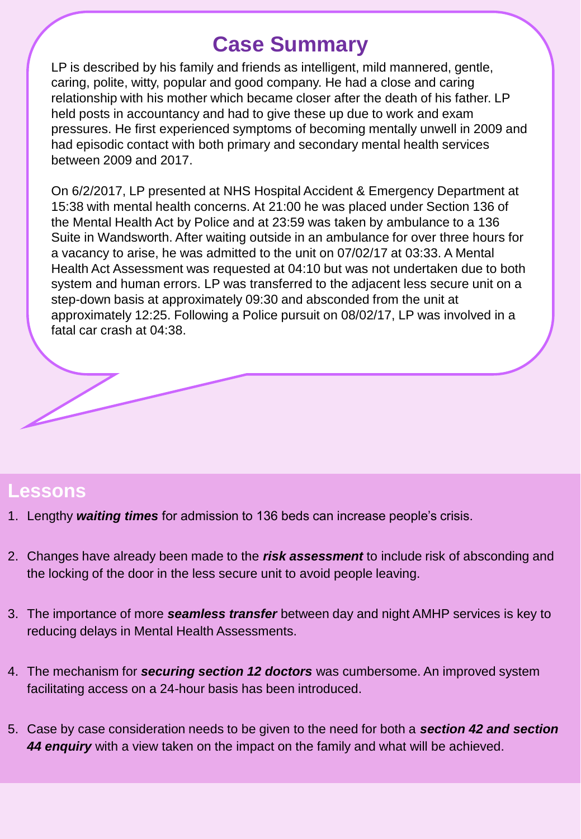# **Case Summary**

LP is described by his family and friends as intelligent, mild mannered, gentle, caring, polite, witty, popular and good company. He had a close and caring relationship with his mother which became closer after the death of his father. LP held posts in accountancy and had to give these up due to work and exam pressures. He first experienced symptoms of becoming mentally unwell in 2009 and had episodic contact with both primary and secondary mental health services between 2009 and 2017.

On 6/2/2017, LP presented at NHS Hospital Accident & Emergency Department at 15:38 with mental health concerns. At 21:00 he was placed under Section 136 of the Mental Health Act by Police and at 23:59 was taken by ambulance to a 136 Suite in Wandsworth. After waiting outside in an ambulance for over three hours for a vacancy to arise, he was admitted to the unit on 07/02/17 at 03:33. A Mental Health Act Assessment was requested at 04:10 but was not undertaken due to both system and human errors. LP was transferred to the adjacent less secure unit on a step-down basis at approximately 09:30 and absconded from the unit at approximately 12:25. Following a Police pursuit on 08/02/17, LP was involved in a fatal car crash at 04:38.

## **Lessons**

- 1. Lengthy *waiting times* for admission to 136 beds can increase people's crisis.
- 2. Changes have already been made to the *risk assessment* to include risk of absconding and the locking of the door in the less secure unit to avoid people leaving.
- 3. The importance of more *seamless transfer* between day and night AMHP services is key to reducing delays in Mental Health Assessments.
- 4. The mechanism for *securing section 12 doctors* was cumbersome. An improved system facilitating access on a 24-hour basis has been introduced.
- 5. Case by case consideration needs to be given to the need for both a *section 42 and section 44 enquiry* with a view taken on the impact on the family and what will be achieved.